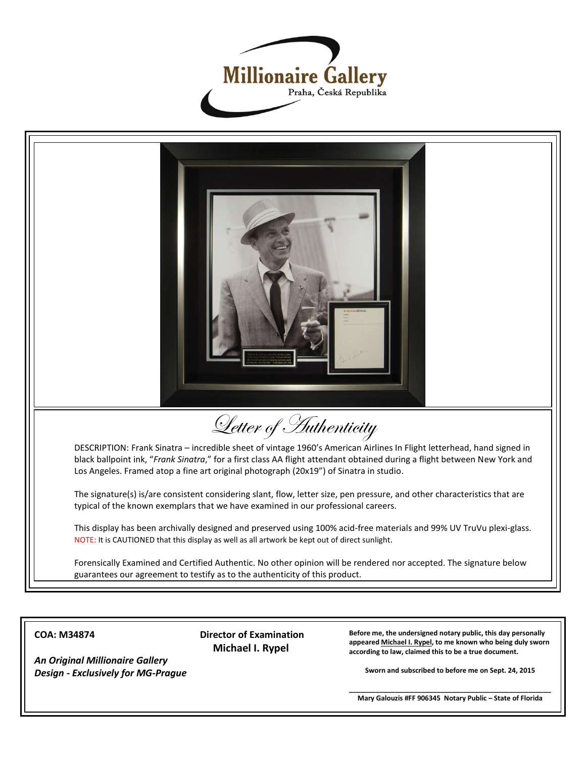



**COA: M34874**

*An Original Millionaire Gallery Design - Exclusively for MG-Prague* **Director of Examination Michael I. Rypel**

**Before me, the undersigned notary public, this day personally appeared Michael I. Rypel, to me known who being duly sworn according to law, claimed this to be a true document.**

**Sworn and subscribed to before me on Sept. 24, 2015**

**\_\_\_\_\_\_\_\_\_\_\_\_\_\_\_\_\_\_\_\_\_\_\_\_\_\_\_\_\_\_\_\_\_\_\_\_\_\_\_\_\_\_\_\_\_\_\_\_\_\_\_\_\_ Mary Galouzis #FF 906345 Notary Public – State of Florida**